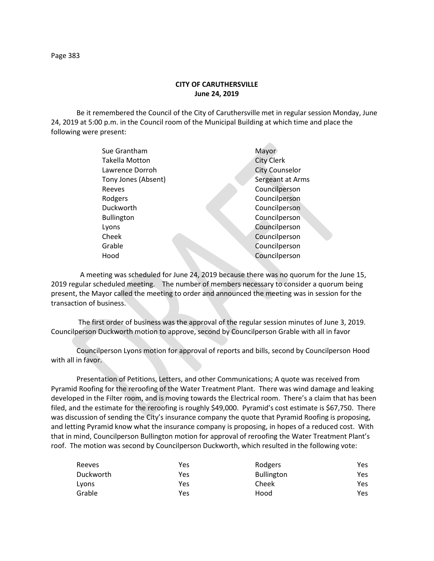## **CITY OF CARUTHERSVILLE June 24, 2019**

Be it remembered the Council of the City of Caruthersville met in regular session Monday, June 24, 2019 at 5:00 p.m. in the Council room of the Municipal Building at which time and place the following were present:

| Sue Grantham        | Mayor                 |
|---------------------|-----------------------|
| Takella Motton      | <b>City Clerk</b>     |
| Lawrence Dorroh     | <b>City Counselor</b> |
| Tony Jones (Absent) | Sergeant at Arms      |
| Reeves              | Councilperson         |
| Rodgers             | Councilperson         |
| Duckworth           | Councilperson         |
| <b>Bullington</b>   | Councilperson         |
| Lyons               | Councilperson         |
| Cheek               | Councilperson         |
| Grable              | Councilperson         |
| Hood                | Councilperson         |
|                     |                       |

 A meeting was scheduled for June 24, 2019 because there was no quorum for the June 15, 2019 regular scheduled meeting. The number of members necessary to consider a quorum being present, the Mayor called the meeting to order and announced the meeting was in session for the transaction of business.

The first order of business was the approval of the regular session minutes of June 3, 2019. Councilperson Duckworth motion to approve, second by Councilperson Grable with all in favor

Councilperson Lyons motion for approval of reports and bills, second by Councilperson Hood with all in favor.

Presentation of Petitions, Letters, and other Communications; A quote was received from Pyramid Roofing for the reroofing of the Water Treatment Plant. There was wind damage and leaking developed in the Filter room, and is moving towards the Electrical room. There's a claim that has been filed, and the estimate for the reroofing is roughly \$49,000. Pyramid's cost estimate is \$67,750. There was discussion of sending the City's insurance company the quote that Pyramid Roofing is proposing, and letting Pyramid know what the insurance company is proposing, in hopes of a reduced cost. With that in mind, Councilperson Bullington motion for approval of reroofing the Water Treatment Plant's roof. The motion was second by Councilperson Duckworth, which resulted in the following vote:

| Reeves    | Yes | Rodgers           | Yes |
|-----------|-----|-------------------|-----|
| Duckworth | Yes | <b>Bullington</b> | Yes |
| Lyons     | Yes | Cheek             | Yes |
| Grable    | Yes | Hood              | Yes |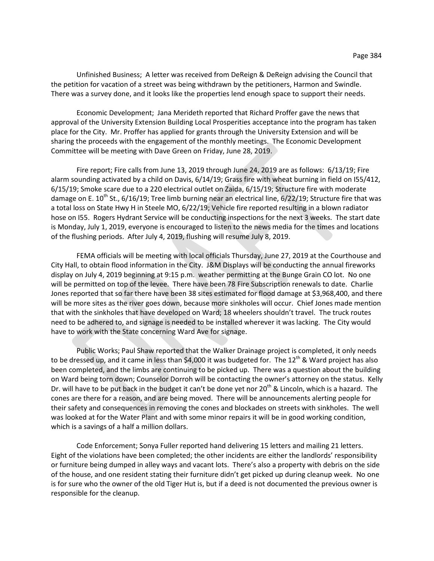Unfinished Business; A letter was received from DeReign & DeReign advising the Council that the petition for vacation of a street was being withdrawn by the petitioners, Harmon and Swindle. There was a survey done, and it looks like the properties lend enough space to support their needs.

Economic Development; Jana Merideth reported that Richard Proffer gave the news that approval of the University Extension Building Local Prosperities acceptance into the program has taken place for the City. Mr. Proffer has applied for grants through the University Extension and will be sharing the proceeds with the engagement of the monthly meetings. The Economic Development Committee will be meeting with Dave Green on Friday, June 28, 2019.

Fire report; Fire calls from June 13, 2019 through June 24, 2019 are as follows: 6/13/19; Fire alarm sounding activated by a child on Davis, 6/14/19; Grass fire with wheat burning in field on I55/412, 6/15/19; Smoke scare due to a 220 electrical outlet on Zaida, 6/15/19; Structure fire with moderate damage on E.  $10^{th}$  St., 6/16/19; Tree limb burning near an electrical line, 6/22/19; Structure fire that was a total loss on State Hwy H in Steele MO, 6/22/19; Vehicle fire reported resulting in a blown radiator hose on I55. Rogers Hydrant Service will be conducting inspections for the next 3 weeks. The start date is Monday, July 1, 2019, everyone is encouraged to listen to the news media for the times and locations of the flushing periods. After July 4, 2019, flushing will resume July 8, 2019.

FEMA officials will be meeting with local officials Thursday, June 27, 2019 at the Courthouse and City Hall, to obtain flood information in the City. J&M Displays will be conducting the annual fireworks display on July 4, 2019 beginning at 9:15 p.m. weather permitting at the Bunge Grain CO lot. No one will be permitted on top of the levee. There have been 78 Fire Subscription renewals to date. Charlie Jones reported that so far there have been 38 sites estimated for flood damage at \$3,968,400, and there will be more sites as the river goes down, because more sinkholes will occur. Chief Jones made mention that with the sinkholes that have developed on Ward; 18 wheelers shouldn't travel. The truck routes need to be adhered to, and signage is needed to be installed wherever it was lacking. The City would have to work with the State concerning Ward Ave for signage.

Public Works; Paul Shaw reported that the Walker Drainage project is completed, it only needs to be dressed up, and it came in less than \$4,000 it was budgeted for. The 12<sup>th</sup> & Ward project has also been completed, and the limbs are continuing to be picked up. There was a question about the building on Ward being torn down; Counselor Dorroh will be contacting the owner's attorney on the status. Kelly Dr. will have to be put back in the budget it can't be done yet nor  $20^{th}$  & Lincoln, which is a hazard. The cones are there for a reason, and are being moved. There will be announcements alerting people for their safety and consequences in removing the cones and blockades on streets with sinkholes. The well was looked at for the Water Plant and with some minor repairs it will be in good working condition, which is a savings of a half a million dollars.

Code Enforcement; Sonya Fuller reported hand delivering 15 letters and mailing 21 letters. Eight of the violations have been completed; the other incidents are either the landlords' responsibility or furniture being dumped in alley ways and vacant lots. There's also a property with debris on the side of the house, and one resident stating their furniture didn't get picked up during cleanup week. No one is for sure who the owner of the old Tiger Hut is, but if a deed is not documented the previous owner is responsible for the cleanup.